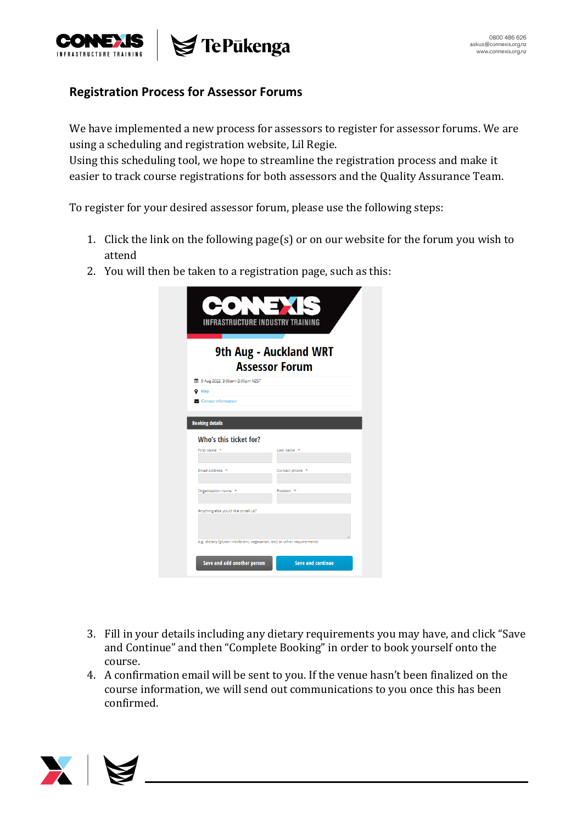

## **Registration Process for Assessor Forums**

We have implemented a new process for assessors to register for assessor forums. We are using a scheduling and registration website, Lil Regie.

Using this scheduling tool, we hope to streamline the registration process and make it easier to track course registrations for both assessors and the Quality Assurance Team.

To register for your desired assessor forum, please use the following steps:

- 1. Click the link on the following page(s) or on our website for the forum you wish to attend
- 2. You will then be taken to a registration page, such as this:

| 9th Aug - Auckland WRT<br><b>Assessor Forum</b>                  |                       |
|------------------------------------------------------------------|-----------------------|
| 的 9 Aug 2022, 9:00am-3:00pm NZST<br>$Q$ Map                      |                       |
| Contact information                                              |                       |
| <b>Booking details</b><br>Who's this ticket for?<br>First name * | Last name *           |
| Email address *                                                  | Contact phone *       |
| Organisation name *                                              | Position <sup>*</sup> |
| Anything else you'd like to tell us?                             |                       |

- 3. Fill in your details including any dietary requirements you may have, and click "Save and Continue" and then "Complete Booking" in order to book yourself onto the course.
- 4. A confirmation email will be sent to you. If the venue hasn't been finalized on the course information, we will send out communications to you once this has been confirmed.